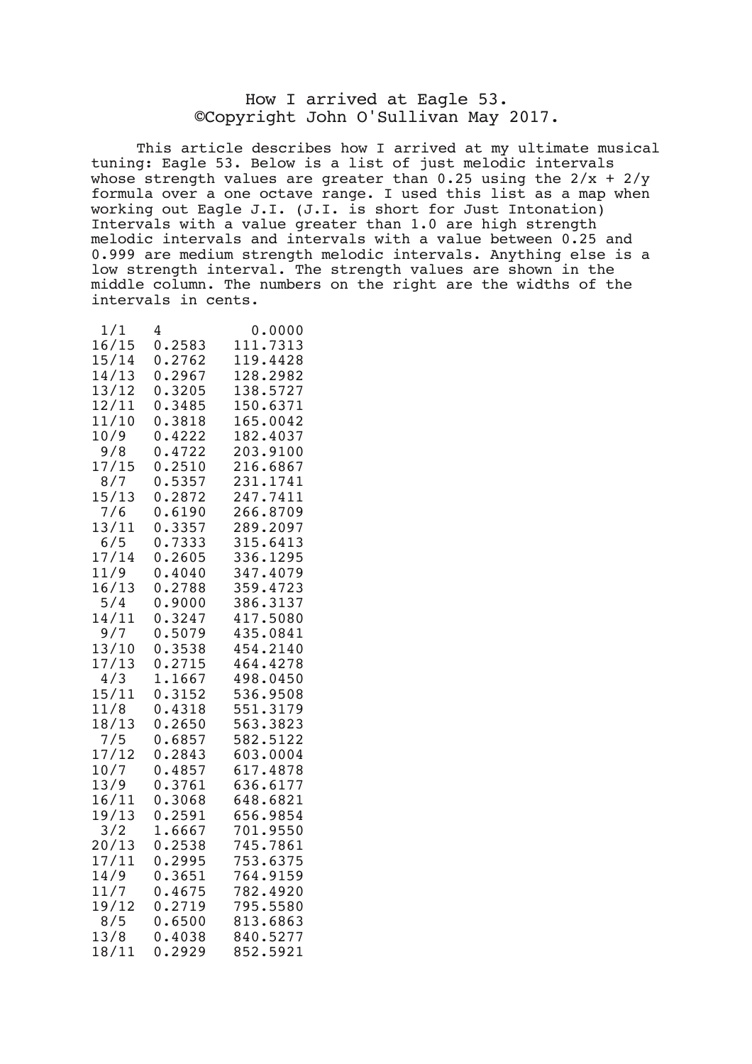## How I arrived at Eagle 53. ©Copyright John O'Sullivan May 2017.

This article describes how I arrived at my ultimate musical tuning: Eagle 53. Below is a list of just melodic intervals whose strength values are greater than  $0.25$  using the  $2/x + 2/y$ formula over a one octave range. I used this list as a map when working out Eagle J.I. (J.I. is short for Just Intonation) Intervals with a value greater than 1.0 are high strength melodic intervals and intervals with a value between 0.25 and 0.999 are medium strength melodic intervals. Anything else is a low strength interval. The strength values are shown in the middle column. The numbers on the right are the widths of the intervals in cents.

| 1/1   | 4      | 0.0000   |
|-------|--------|----------|
| 16/15 | 0.2583 | 111.7313 |
| 15/14 | 0.2762 | 119.4428 |
| 14/13 | 0.2967 | 128.2982 |
| 13/12 | 0.3205 | 138.5727 |
| 12/11 | 0.3485 | 150.6371 |
| 11/10 | 0.3818 | 165.0042 |
| 10/9  | 0.4222 | 182.4037 |
| 9/8   | 0.4722 | 203.9100 |
| 17/15 | 0.2510 | 216.6867 |
| 8/7   | 0.5357 | 231.1741 |
| 15/13 | 0.2872 | 247.7411 |
| 7/6   | 0.6190 | 266.8709 |
| 13/11 | 0.3357 | 289.2097 |
| 6/5   | 0.7333 | 315.6413 |
| 17/14 | 0.2605 | 336.1295 |
| 11/9  | 0.4040 | 347.4079 |
| 16/13 | 0.2788 | 359.4723 |
| 5/4   | 0.9000 | 386.3137 |
| 14/11 | 0.3247 | 417.5080 |
| 9/7   | 0.5079 | 435.0841 |
| 13/10 | 0.3538 | 454.2140 |
| 17/13 | 0.2715 | 464.4278 |
| 4/3   | 1.1667 | 498.0450 |
| 15/11 | 0.3152 | 536.9508 |
| 11/8  | 0.4318 | 551.3179 |
| 18/13 | 0.2650 | 563.3823 |
| 7/5   | 0.6857 | 582.5122 |
| 17/12 | 0.2843 | 603.0004 |
| 10/7  | 0.4857 | 617.4878 |
| 13/9  | 0.3761 | 636.6177 |
| 16/11 | 0.3068 | 648.6821 |
| 19/13 | 0.2591 | 656.9854 |
| 3/2   | 1.6667 | 701.9550 |
| 20/13 | 0.2538 | 745.7861 |
| 17/11 | 0.2995 | 753.6375 |
| 14/9  | 0.3651 | 764.9159 |
| 11/7  | 0.4675 | 782.4920 |
| 19/12 | 0.2719 | 795.5580 |
| 8/5   | 0.6500 | 813.6863 |
| 13/8  | 0.4038 | 840.5277 |
| 18/11 | 0.2929 | 852.5921 |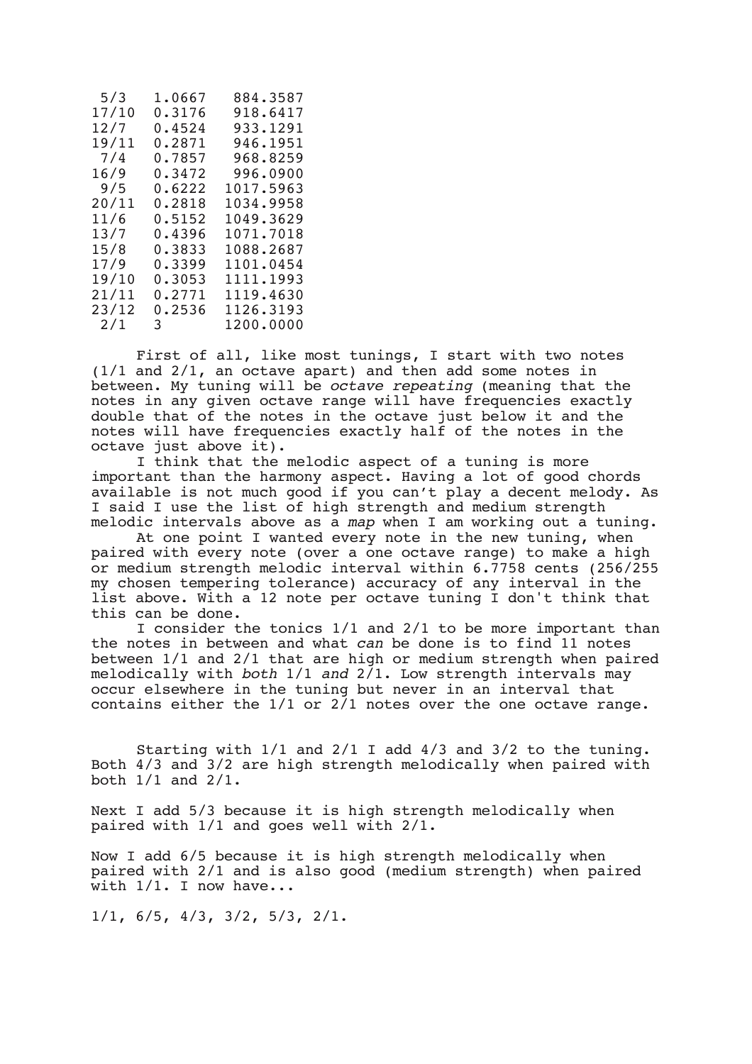| 5/3   | 1.0667 | 884.3587  |
|-------|--------|-----------|
| 17/10 | 0.3176 | 918.6417  |
| 12/7  | 0.4524 | 933.1291  |
| 19/11 | 0.2871 | 946.1951  |
| 7/4   | 0.7857 | 968.8259  |
| 16/9  | 0.3472 | 996.0900  |
| 9/5   | 0.6222 | 1017.5963 |
| 20/11 | 0.2818 | 1034.9958 |
| 11/6  | 0.5152 | 1049.3629 |
| 13/7  | 0.4396 | 1071.7018 |
| 15/8  | 0.3833 | 1088.2687 |
| 17/9  | 0.3399 | 1101.0454 |
| 19/10 | 0.3053 | 1111.1993 |
| 21/11 | 0.2771 | 1119.4630 |
| 23/12 | 0.2536 | 1126.3193 |
| 2/1   | 3 —    | 1200.0000 |

First of all, like most tunings, I start with two notes (1/1 and 2/1, an octave apart) and then add some notes in between. My tuning will be *octave repeating* (meaning that the notes in any given octave range will have frequencies exactly double that of the notes in the octave just below it and the notes will have frequencies exactly half of the notes in the octave just above it).

I think that the melodic aspect of a tuning is more important than the harmony aspect. Having a lot of good chords available is not much good if you can't play a decent melody. As I said I use the list of high strength and medium strength melodic intervals above as a *map* when I am working out a tuning.

At one point I wanted every note in the new tuning, when paired with every note (over a one octave range) to make a high or medium strength melodic interval within 6.7758 cents (256/255 my chosen tempering tolerance) accuracy of any interval in the list above. With a 12 note per octave tuning I don't think that this can be done.

I consider the tonics 1/1 and 2/1 to be more important than the notes in between and what *can* be done is to find 11 notes between 1/1 and 2/1 that are high or medium strength when paired melodically with *both* 1/1 *and* 2/1. Low strength intervals may occur elsewhere in the tuning but never in an interval that contains either the  $1/1$  or  $2/1$  notes over the one octave range.

Starting with 1/1 and 2/1 I add 4/3 and 3/2 to the tuning. Both 4/3 and 3/2 are high strength melodically when paired with both 1/1 and 2/1.

Next I add 5/3 because it is high strength melodically when paired with 1/1 and goes well with 2/1.

Now I add 6/5 because it is high strength melodically when paired with 2/1 and is also good (medium strength) when paired with  $1/1$ . I now have...

1/1, 6/5, 4/3, 3/2, 5/3, 2/1.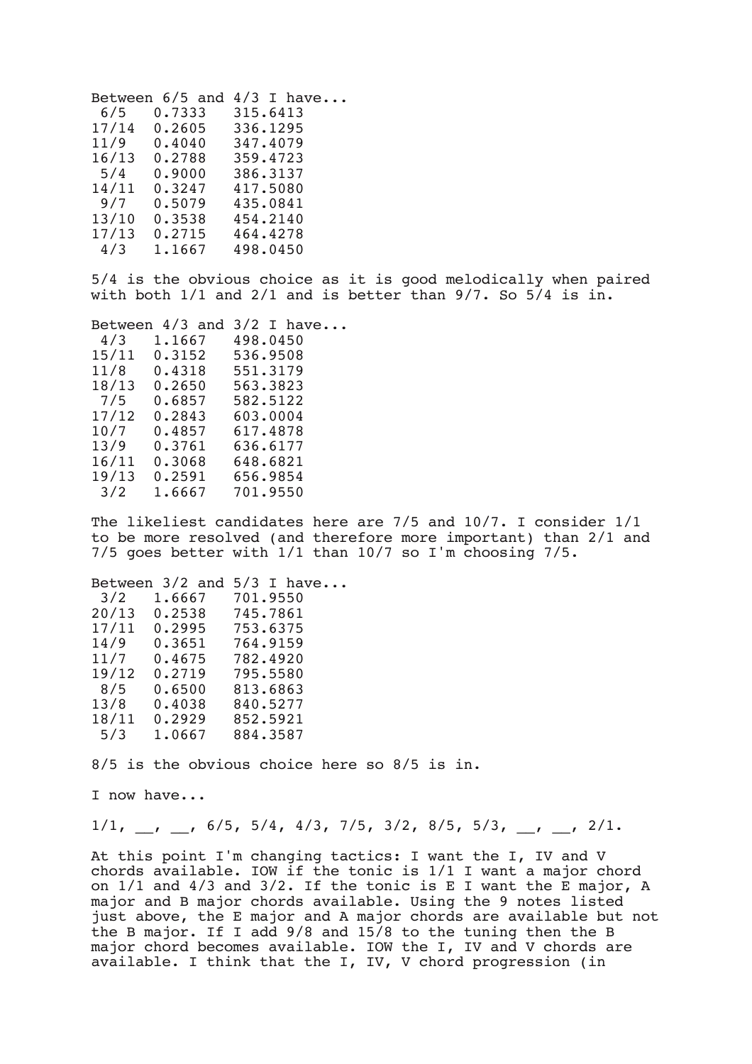Between 6/5 and 4/3 I have... 6/5 0.7333 315.6413 17/14 0.2605 11/9 0.4040 347.4079 16/13 0.2788 359.4723 5/4 0.9000 386.3137 14/11 0.3247 417.5080 435.0841<br>454.2140 13/10 0.3538<br>17/13 0.2715 17/13 0.2715 464.4278 498.0450

5/4 is the obvious choice as it is good melodically when paired with both  $1/1$  and  $2/1$  and is better than  $9/7$ . So  $5/4$  is in.

| Between $4/3$ and $3/2$ I have |                 |          |  |  |
|--------------------------------|-----------------|----------|--|--|
| 4/3                            | 1.1667          | 498.0450 |  |  |
| 15/11                          | 0.3152          | 536.9508 |  |  |
| 11/8                           | 0.4318 551.3179 |          |  |  |
| 18/13                          | 0.2650          | 563.3823 |  |  |
| 7/5                            | 0.6857          | 582.5122 |  |  |
| 17/12                          | 0.2843          | 603,0004 |  |  |
| 10/7                           | 0.4857          | 617.4878 |  |  |
| 13/9                           | 0.3761          | 636.6177 |  |  |
| 16/11                          | 0.3068          | 648.6821 |  |  |
| 19/13                          | 0.2591          | 656.9854 |  |  |
| 3/2                            | 1.6667          | 701.9550 |  |  |
|                                |                 |          |  |  |

The likeliest candidates here are 7/5 and 10/7. I consider 1/1 to be more resolved (and therefore more important) than 2/1 and 7/5 goes better with 1/1 than 10/7 so I'm choosing 7/5.

|  | 1.6667<br>0.2538<br>0.3651<br>0.4675<br>0.2719<br>0.6500<br>0.4038<br>0.2929<br>1,0667 |  | Between $3/2$ and $5/3$ I have<br>701.9550<br>745.7861<br>0.2995 753.6375<br>764.9159<br>782.4920<br>795.5580<br>813.6863<br>840.5277<br>852.5921<br>884.3587 |
|--|----------------------------------------------------------------------------------------|--|---------------------------------------------------------------------------------------------------------------------------------------------------------------|

8/5 is the obvious choice here so 8/5 is in.

I now have...

 $1/1, \quad , \quad , \quad 6/5, \quad 5/4, \quad 4/3, \quad 7/5, \quad 3/2, \quad 8/5, \quad 5/3, \quad , \quad , \quad 2/1.$ 

At this point I'm changing tactics: I want the I, IV and V chords available. IOW if the tonic is 1/1 I want a major chord on 1/1 and 4/3 and 3/2. If the tonic is E I want the E major, A major and B major chords available. Using the 9 notes listed just above, the E major and A major chords are available but not the B major. If I add 9/8 and 15/8 to the tuning then the B major chord becomes available. IOW the I, IV and V chords are available. I think that the I, IV, V chord progression (in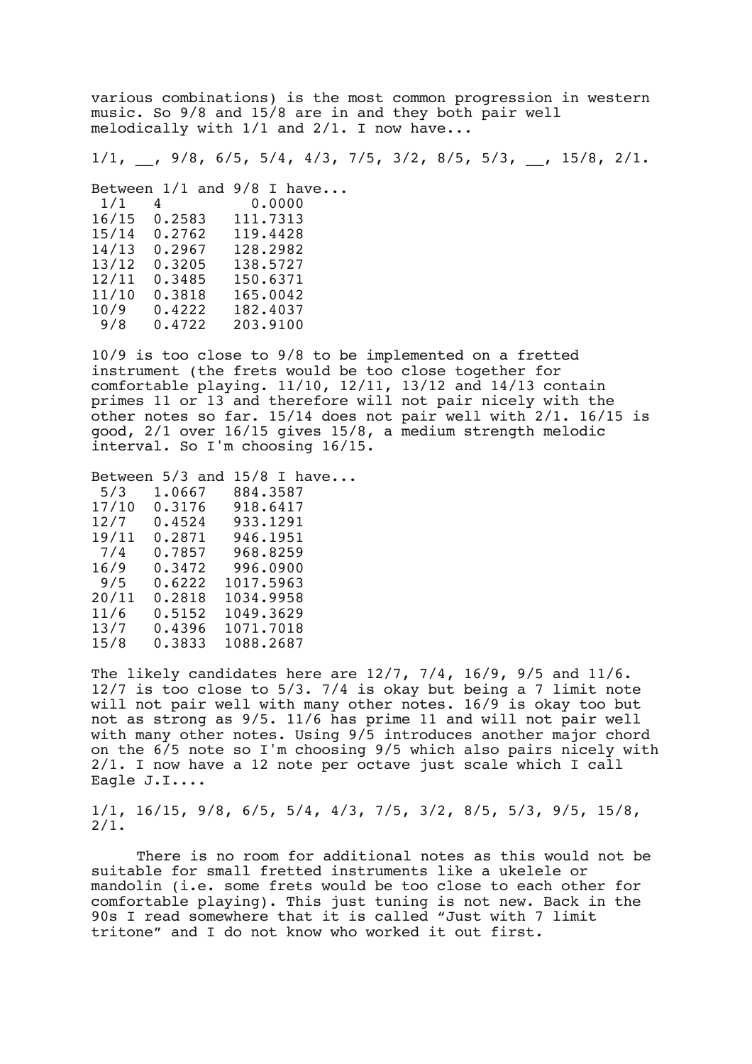various combinations) is the most common progression in western music. So 9/8 and 15/8 are in and they both pair well melodically with 1/1 and 2/1. I now have...

 $1/1$ , , 9/8, 6/5, 5/4, 4/3, 7/5, 3/2, 8/5, 5/3, 15/8, 2/1.

Between  $1/1$  and  $9/8$  I have...<br> $1/1$  4 0.0000 1/1 4 0.0000<br>16/15 0.2583 111.7313 16/15 0.2583 111.7313 15/14 0.2762 119.4428 14/13 0.2967 128.2982 138.5727 12/11 0.3485 150.6371<br>11/10 0.3818 165.0042 11/10 0.3818 165.0042 0/9 0.4222 182.4037<br>9/8 0.4722 203.9100 203.9100

10/9 is too close to 9/8 to be implemented on a fretted instrument (the frets would be too close together for comfortable playing. 11/10, 12/11, 13/12 and 14/13 contain primes 11 or 13 and therefore will not pair nicely with the other notes so far. 15/14 does not pair well with 2/1. 16/15 is good, 2/1 over 16/15 gives 15/8, a medium strength melodic interval. So I'm choosing 16/15.

Between 5/3 and 15/8 I have...<br>5/3 1.0667 884.3587 5/3 1.0667 884.3587 17/10 0.3176 918.6417<br>12/7 0.4524 933.1291 933.1291<br>946.1951 19/11 0.2871<br>7/4 0.7857 7/4 0.7857 968.8259 16/9 0.3472 996.0900 1017.5963 20/11 0.2818 1034.9958 11/6 0.5152 1049.3629<br>13/7 0.4396 1071.7018 13/7 0.4396 1071.7018 1088.2687

The likely candidates here are 12/7, 7/4, 16/9, 9/5 and 11/6. 12/7 is too close to 5/3. 7/4 is okay but being a 7 limit note will not pair well with many other notes. 16/9 is okay too but not as strong as 9/5. 11/6 has prime 11 and will not pair well with many other notes. Using 9/5 introduces another major chord on the 6/5 note so I'm choosing 9/5 which also pairs nicely with 2/1. I now have a 12 note per octave just scale which I call Eagle J.I....

1/1, 16/15, 9/8, 6/5, 5/4, 4/3, 7/5, 3/2, 8/5, 5/3, 9/5, 15/8, 2/1.

There is no room for additional notes as this would not be suitable for small fretted instruments like a ukelele or mandolin (i.e. some frets would be too close to each other for comfortable playing). This just tuning is not new. Back in the 90s I read somewhere that it is called "Just with 7 limit tritone" and I do not know who worked it out first.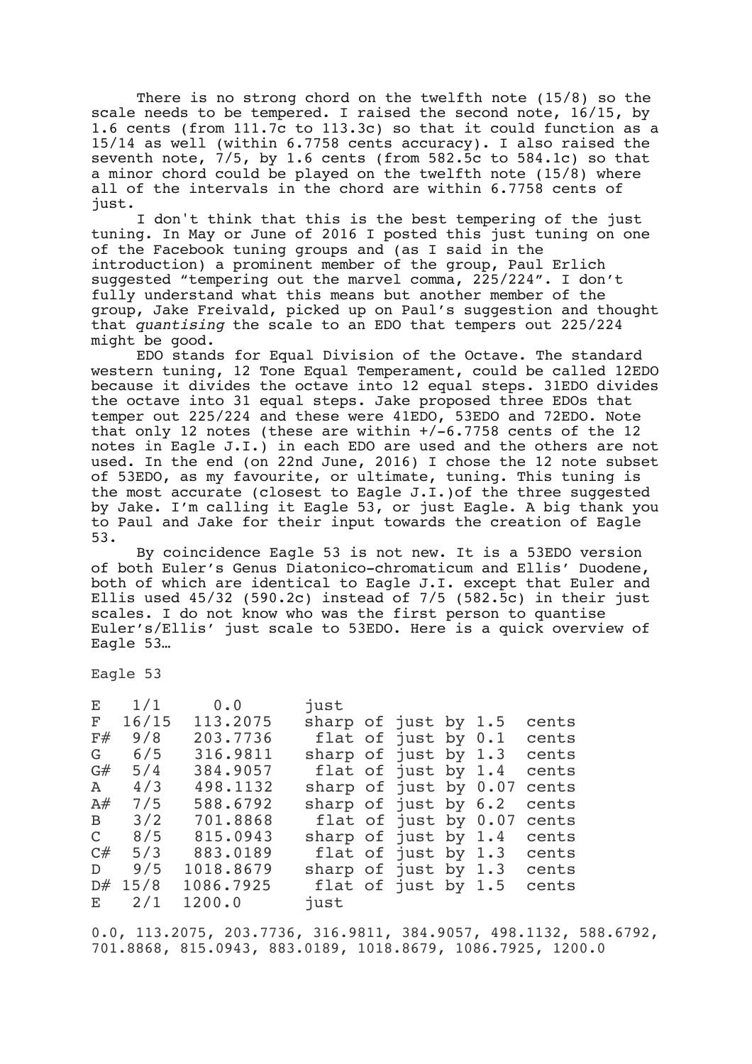There is no strong chord on the twelfth note (15/8) so the scale needs to be tempered. I raised the second note, 16/15, by 1.6 cents (from 111.7c to 113.3c) so that it could function as a 15/14 as well (within 6.7758 cents accuracy). I also raised the seventh note,  $7/5$ , by 1.6 cents (from  $582.5c$  to  $584.1c$ ) so that a minor chord could be played on the twelfth note (15/8) where all of the intervals in the chord are within 6.7758 cents of just.

I don't think that this is the best tempering of the just tuning. In May or June of 2016 I posted this just tuning on one of the Facebook tuning groups and (as I said in the introduction) a prominent member of the group, Paul Erlich suggested "tempering out the marvel comma, 225/224". I don't fully understand what this means but another member of the group, Jake Freivald, picked up on Paul's suggestion and thought that *quantising* the scale to an EDO that tempers out 225/224 might be good.

EDO stands for Equal Division of the Octave. The standard western tuning, 12 Tone Equal Temperament, could be called 12EDO because it divides the octave into 12 equal steps. 31EDO divides the octave into 31 equal steps. Jake proposed three EDOs that temper out 225/224 and these were 41EDO, 53EDO and 72EDO. Note that only 12 notes (these are within +/-6.7758 cents of the 12 notes in Eagle J.I.) in each EDO are used and the others are not used. In the end (on 22nd June, 2016) I chose the 12 note subset of 53EDO, as my favourite, or ultimate, tuning. This tuning is the most accurate (closest to Eagle J.I.)of the three suggested by Jake. I'm calling it Eagle 53, or just Eagle. A big thank you to Paul and Jake for their input towards the creation of Eagle 53.

By coincidence Eagle 53 is not new. It is a 53EDO version of both Euler's Genus Diatonico-chromaticum and Ellis' Duodene, both of which are identical to Eagle J.I. except that Euler and Ellis used  $45/32$  (590.2c) instead of  $7/5$  (582.5c) in their just scales. I do not know who was the first person to quantise Euler's/Ellis' just scale to 53EDO. Here is a quick overview of Eagle 53…

Eagle 53

| E  | 1/1       | 0.0       | just                    |                        |                     |       |
|----|-----------|-----------|-------------------------|------------------------|---------------------|-------|
| F  | 16/15     | 113.2075  | sharp of just by $1.5$  |                        |                     | cents |
| F# | 9/8       | 203.7736  |                         | flat of just by $0.1$  |                     | cents |
| G  | 6/5       | 316.9811  | sharp of just by $1.3$  |                        |                     | cents |
| G# | 5/4       | 384.9057  | flat of just by 1.4     |                        |                     | cents |
| A  | 4/3       | 498.1132  | sharp of just by $0.07$ |                        |                     | cents |
| A# | 7/5       | 588.6792  | sharp of just by 6.2    |                        |                     | cents |
| B. | 3/2       | 701.8868  |                         | flat of just by $0.07$ |                     | cents |
|    | C $8/5$   | 815.0943  | sharp of just by 1.4    |                        |                     | cents |
| C# | 5/3       | 883.0189  |                         |                        | flat of just by 1.3 | cents |
| D  | 9/5       | 1018.8679 | sharp of just by $1.3$  |                        |                     | cents |
| D# | 15/8      | 1086.7925 |                         | flat of just by $1.5$  |                     | cents |
|    | $E \t2/1$ | 1200.0    | just                    |                        |                     |       |
|    |           |           |                         |                        |                     |       |

0.0, 113.2075, 203.7736, 316.9811, 384.9057, 498.1132, 588.6792, 701.8868, 815.0943, 883.0189, 1018.8679, 1086.7925, 1200.0